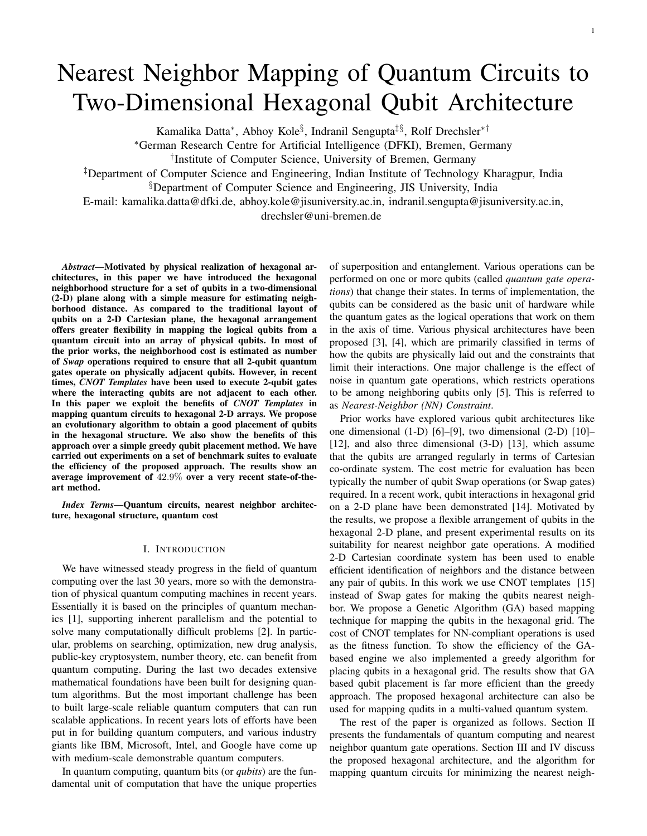# Nearest Neighbor Mapping of Quantum Circuits to Two-Dimensional Hexagonal Qubit Architecture

Kamalika Datta<sup>∗</sup> , Abhoy Kole§ , Indranil Sengupta‡§, Rolf Drechsler∗†

<sup>∗</sup>German Research Centre for Artificial Intelligence (DFKI), Bremen, Germany

† Institute of Computer Science, University of Bremen, Germany

‡Department of Computer Science and Engineering, Indian Institute of Technology Kharagpur, India

§Department of Computer Science and Engineering, JIS University, India

E-mail: kamalika.datta@dfki.de, abhoy.kole@jisuniversity.ac.in, indranil.sengupta@jisuniversity.ac.in, drechsler@uni-bremen.de

*Abstract*—Motivated by physical realization of hexagonal architectures, in this paper we have introduced the hexagonal neighborhood structure for a set of qubits in a two-dimensional (2-D) plane along with a simple measure for estimating neighborhood distance. As compared to the traditional layout of qubits on a 2-D Cartesian plane, the hexagonal arrangement offers greater flexibility in mapping the logical qubits from a quantum circuit into an array of physical qubits. In most of the prior works, the neighborhood cost is estimated as number of *Swap* operations required to ensure that all 2-qubit quantum gates operate on physically adjacent qubits. However, in recent times, *CNOT Templates* have been used to execute 2-qubit gates where the interacting qubits are not adjacent to each other. In this paper we exploit the benefits of *CNOT Templates* in mapping quantum circuits to hexagonal 2-D arrays. We propose an evolutionary algorithm to obtain a good placement of qubits in the hexagonal structure. We also show the benefits of this approach over a simple greedy qubit placement method. We have carried out experiments on a set of benchmark suites to evaluate the efficiency of the proposed approach. The results show an average improvement of 42.9% over a very recent state-of-theart method.

*Index Terms*—Quantum circuits, nearest neighbor architecture, hexagonal structure, quantum cost

#### I. INTRODUCTION

We have witnessed steady progress in the field of quantum computing over the last 30 years, more so with the demonstration of physical quantum computing machines in recent years. Essentially it is based on the principles of quantum mechanics [1], supporting inherent parallelism and the potential to solve many computationally difficult problems [2]. In particular, problems on searching, optimization, new drug analysis, public-key cryptosystem, number theory, etc. can benefit from quantum computing. During the last two decades extensive mathematical foundations have been built for designing quantum algorithms. But the most important challenge has been to built large-scale reliable quantum computers that can run scalable applications. In recent years lots of efforts have been put in for building quantum computers, and various industry giants like IBM, Microsoft, Intel, and Google have come up with medium-scale demonstrable quantum computers.

In quantum computing, quantum bits (or *qubits*) are the fundamental unit of computation that have the unique properties of superposition and entanglement. Various operations can be performed on one or more qubits (called *quantum gate operations*) that change their states. In terms of implementation, the qubits can be considered as the basic unit of hardware while the quantum gates as the logical operations that work on them in the axis of time. Various physical architectures have been proposed [3], [4], which are primarily classified in terms of how the qubits are physically laid out and the constraints that limit their interactions. One major challenge is the effect of noise in quantum gate operations, which restricts operations to be among neighboring qubits only [5]. This is referred to as *Nearest-Neighbor (NN) Constraint*.

Prior works have explored various qubit architectures like one dimensional (1-D) [6]–[9], two dimensional (2-D) [10]– [12], and also three dimensional (3-D) [13], which assume that the qubits are arranged regularly in terms of Cartesian co-ordinate system. The cost metric for evaluation has been typically the number of qubit Swap operations (or Swap gates) required. In a recent work, qubit interactions in hexagonal grid on a 2-D plane have been demonstrated [14]. Motivated by the results, we propose a flexible arrangement of qubits in the hexagonal 2-D plane, and present experimental results on its suitability for nearest neighbor gate operations. A modified 2-D Cartesian coordinate system has been used to enable efficient identification of neighbors and the distance between any pair of qubits. In this work we use CNOT templates [15] instead of Swap gates for making the qubits nearest neighbor. We propose a Genetic Algorithm (GA) based mapping technique for mapping the qubits in the hexagonal grid. The cost of CNOT templates for NN-compliant operations is used as the fitness function. To show the efficiency of the GAbased engine we also implemented a greedy algorithm for placing qubits in a hexagonal grid. The results show that GA based qubit placement is far more efficient than the greedy approach. The proposed hexagonal architecture can also be used for mapping qudits in a multi-valued quantum system.

The rest of the paper is organized as follows. Section II presents the fundamentals of quantum computing and nearest neighbor quantum gate operations. Section III and IV discuss the proposed hexagonal architecture, and the algorithm for mapping quantum circuits for minimizing the nearest neigh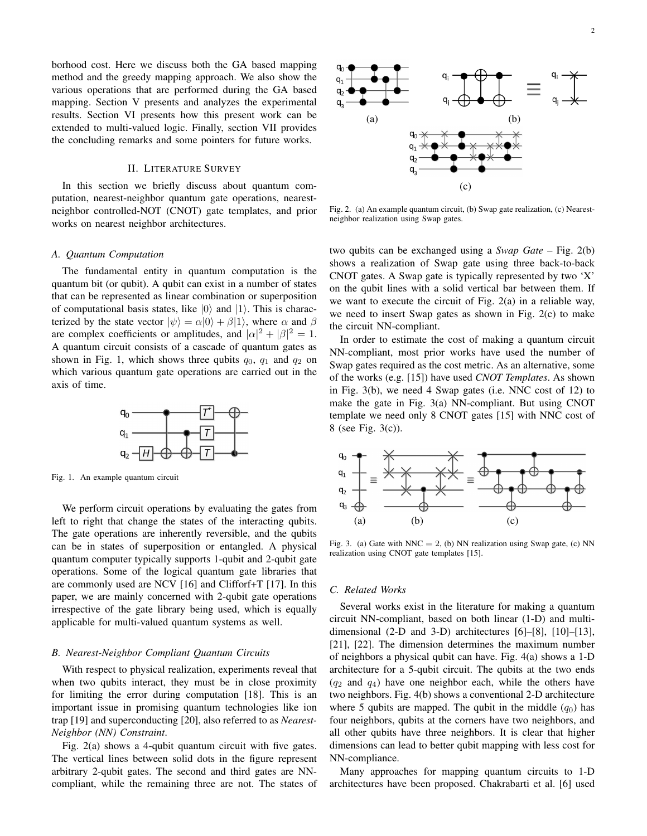borhood cost. Here we discuss both the GA based mapping method and the greedy mapping approach. We also show the various operations that are performed during the GA based mapping. Section V presents and analyzes the experimental results. Section VI presents how this present work can be extended to multi-valued logic. Finally, section VII provides the concluding remarks and some pointers for future works.

# II. LITERATURE SURVEY

In this section we briefly discuss about quantum computation, nearest-neighbor quantum gate operations, nearestneighbor controlled-NOT (CNOT) gate templates, and prior works on nearest neighbor architectures.

## *A. Quantum Computation*

The fundamental entity in quantum computation is the quantum bit (or qubit). A qubit can exist in a number of states that can be represented as linear combination or superposition of computational basis states, like  $|0\rangle$  and  $|1\rangle$ . This is characterized by the state vector  $|\psi\rangle = \alpha|0\rangle + \beta|1\rangle$ , where  $\alpha$  and  $\beta$ are complex coefficients or amplitudes, and  $|\alpha|^2 + |\beta|^2 = 1$ . A quantum circuit consists of a cascade of quantum gates as shown in Fig. 1, which shows three qubits  $q_0$ ,  $q_1$  and  $q_2$  on which various quantum gate operations are carried out in the axis of time.



Fig. 1. An example quantum circuit

We perform circuit operations by evaluating the gates from left to right that change the states of the interacting qubits. The gate operations are inherently reversible, and the qubits can be in states of superposition or entangled. A physical quantum computer typically supports 1-qubit and 2-qubit gate operations. Some of the logical quantum gate libraries that are commonly used are NCV [16] and Clifforf+T [17]. In this paper, we are mainly concerned with 2-qubit gate operations irrespective of the gate library being used, which is equally applicable for multi-valued quantum systems as well.

# *B. Nearest-Neighbor Compliant Quantum Circuits*

With respect to physical realization, experiments reveal that when two qubits interact, they must be in close proximity for limiting the error during computation [18]. This is an important issue in promising quantum technologies like ion trap [19] and superconducting [20], also referred to as *Nearest-Neighbor (NN) Constraint*.

Fig. 2(a) shows a 4-qubit quantum circuit with five gates. The vertical lines between solid dots in the figure represent arbitrary 2-qubit gates. The second and third gates are NNcompliant, while the remaining three are not. The states of



Fig. 2. (a) An example quantum circuit, (b) Swap gate realization, (c) Nearestneighbor realization using Swap gates.

two qubits can be exchanged using a *Swap Gate* – Fig. 2(b) shows a realization of Swap gate using three back-to-back CNOT gates. A Swap gate is typically represented by two 'X' on the qubit lines with a solid vertical bar between them. If we want to execute the circuit of Fig. 2(a) in a reliable way, we need to insert Swap gates as shown in Fig. 2(c) to make the circuit NN-compliant.

In order to estimate the cost of making a quantum circuit NN-compliant, most prior works have used the number of Swap gates required as the cost metric. As an alternative, some of the works (e.g. [15]) have used *CNOT Templates*. As shown in Fig. 3(b), we need 4 Swap gates (i.e. NNC cost of 12) to make the gate in Fig. 3(a) NN-compliant. But using CNOT template we need only 8 CNOT gates [15] with NNC cost of 8 (see Fig. 3(c)).



Fig. 3. (a) Gate with NNC = 2, (b) NN realization using Swap gate, (c) NN realization using CNOT gate templates [15].

#### *C. Related Works*

Several works exist in the literature for making a quantum circuit NN-compliant, based on both linear (1-D) and multidimensional (2-D and 3-D) architectures [6]–[8], [10]–[13], [21], [22]. The dimension determines the maximum number of neighbors a physical qubit can have. Fig. 4(a) shows a 1-D architecture for a 5-qubit circuit. The qubits at the two ends  $(q_2 \text{ and } q_4)$  have one neighbor each, while the others have two neighbors. Fig. 4(b) shows a conventional 2-D architecture where 5 qubits are mapped. The qubit in the middle  $(q_0)$  has four neighbors, qubits at the corners have two neighbors, and all other qubits have three neighbors. It is clear that higher dimensions can lead to better qubit mapping with less cost for NN-compliance.

Many approaches for mapping quantum circuits to 1-D architectures have been proposed. Chakrabarti et al. [6] used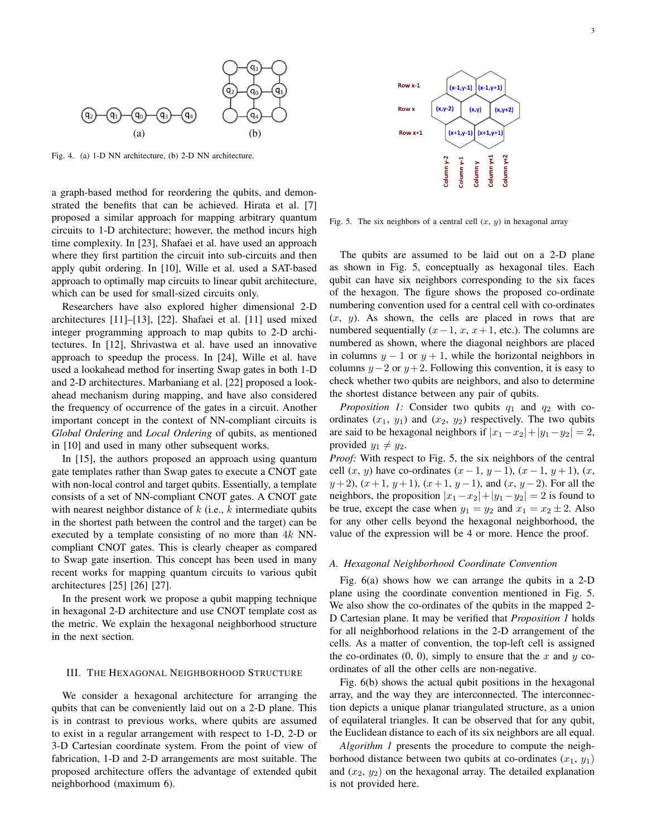

Fig. 4. (a) 1-D NN architecture, (b) 2-D NN architecture.

a graph-based method for reordering the qubits, and demonstrated the benefits that can be achieved. Hirata et al. [7] proposed a similar approach for mapping arbitrary quantum circuits to 1-D architecture; however, the method incurs high time complexity. In [23], Shafaei et al. have used an approach where they first partition the circuit into sub-circuits and then apply qubit ordering. In [10], Wille et al. used a SAT-based approach to optimally map circuits to linear qubit architecture, which can be used for small-sized circuits only.

Researchers have also explored higher dimensional 2-D architectures [11]–[13], [22]. Shafaei et al. [11] used mixed integer programming approach to map qubits to 2-D architectures. In [12], Shrivastwa et al. have used an innovative approach to speedup the process. In [24], Wille et al. have used a lookahead method for inserting Swap gates in both 1-D and 2-D architectures. Marbaniang et al. [22] proposed a lookahead mechanism during mapping, and have also considered the frequency of occurrence of the gates in a circuit. Another important concept in the context of NN-compliant circuits is *Global Ordering* and *Local Ordering* of qubits, as mentioned in [10] and used in many other subsequent works.

In [15], the authors proposed an approach using quantum gate templates rather than Swap gates to execute a CNOT gate with non-local control and target qubits. Essentially, a template consists of a set of NN-compliant CNOT gates. A CNOT gate with nearest neighbor distance of  $k$  (i.e.,  $k$  intermediate qubits in the shortest path between the control and the target) can be executed by a template consisting of no more than  $4k$  NNcompliant CNOT gates. This is clearly cheaper as compared to Swap gate insertion. This concept has been used in many recent works for mapping quantum circuits to various qubit architectures [25] [26] [27].

In the present work we propose a qubit mapping technique in hexagonal 2-D architecture and use CNOT template cost as the metric. We explain the hexagonal neighborhood structure in the next section.

## III. THE HEXAGONAL NEIGHBORHOOD STRUCTURE

We consider a hexagonal architecture for arranging the qubits that can be conveniently laid out on a 2-D plane. This is in contrast to previous works, where qubits are assumed to exist in a regular arrangement with respect to 1-D, 2-D or 3-D Cartesian coordinate system. From the point of view of fabrication, 1-D and 2-D arrangements are most suitable. The proposed architecture offers the advantage of extended qubit neighborhood (maximum 6).



Fig. 5. The six neighbors of a central cell  $(x, y)$  in hexagonal array

The qubits are assumed to be laid out on a 2-D plane as shown in Fig. 5, conceptually as hexagonal tiles. Each qubit can have six neighbors corresponding to the six faces of the hexagon. The figure shows the proposed co-ordinate numbering convention used for a central cell with co-ordinates  $(x, y)$ . As shown, the cells are placed in rows that are numbered sequentially  $(x-1, x, x+1, \text{ etc.})$ . The columns are numbered as shown, where the diagonal neighbors are placed in columns  $y - 1$  or  $y + 1$ , while the horizontal neighbors in columns  $y-2$  or  $y+2$ . Following this convention, it is easy to check whether two qubits are neighbors, and also to determine the shortest distance between any pair of qubits.

*Proposition 1:* Consider two qubits  $q_1$  and  $q_2$  with coordinates  $(x_1, y_1)$  and  $(x_2, y_2)$  respectively. The two qubits are said to be hexagonal neighbors if  $|x_1-x_2|+|y_1-y_2|=2$ , provided  $y_1 \neq y_2$ .

*Proof:* With respect to Fig. 5, the six neighbors of the central cell  $(x, y)$  have co-ordinates  $(x - 1, y - 1), (x - 1, y + 1), (x,$  $y+2$ ,  $(x+1, y+1)$ ,  $(x+1, y-1)$ , and  $(x, y-2)$ . For all the neighbors, the proposition  $|x_1-x_2|+|y_1-y_2|=2$  is found to be true, except the case when  $y_1 = y_2$  and  $x_1 = x_2 \pm 2$ . Also for any other cells beyond the hexagonal neighborhood, the value of the expression will be 4 or more. Hence the proof.

#### *A. Hexagonal Neighborhood Coordinate Convention*

Fig. 6(a) shows how we can arrange the qubits in a 2-D plane using the coordinate convention mentioned in Fig. 5. We also show the co-ordinates of the qubits in the mapped 2- D Cartesian plane. It may be verified that *Proposition 1* holds for all neighborhood relations in the 2-D arrangement of the cells. As a matter of convention, the top-left cell is assigned the co-ordinates  $(0, 0)$ , simply to ensure that the x and y coordinates of all the other cells are non-negative.

Fig. 6(b) shows the actual qubit positions in the hexagonal array, and the way they are interconnected. The interconnection depicts a unique planar triangulated structure, as a union of equilateral triangles. It can be observed that for any qubit, the Euclidean distance to each of its six neighbors are all equal.

*Algorithm 1* presents the procedure to compute the neighborhood distance between two qubits at co-ordinates  $(x_1, y_1)$ and  $(x_2, y_2)$  on the hexagonal array. The detailed explanation is not provided here.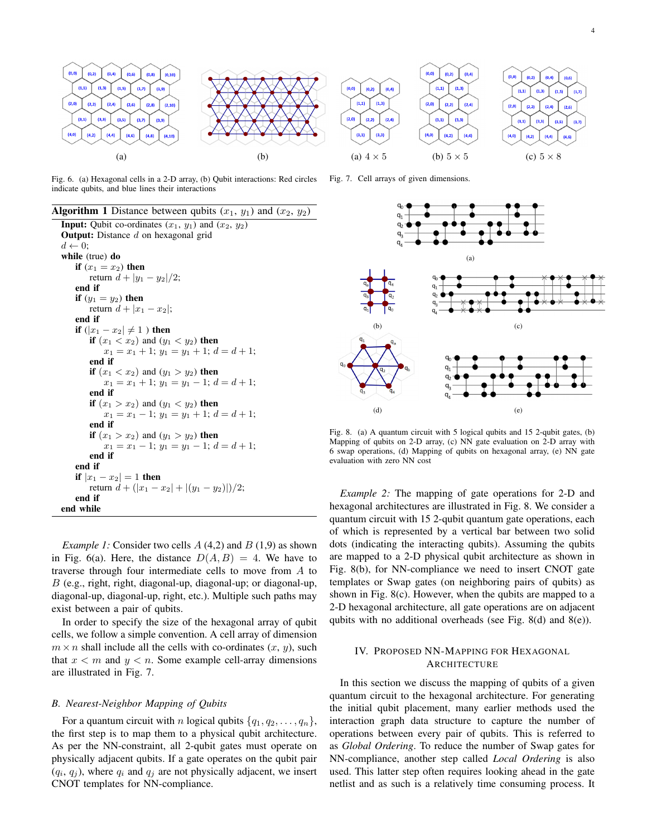

Fig. 6. (a) Hexagonal cells in a 2-D array, (b) Qubit interactions: Red circles indicate qubits, and blue lines their interactions

**Algorithm 1** Distance between qubits  $(x_1, y_1)$  and  $(x_2, y_2)$ **Input:** Qubit co-ordinates  $(x_1, y_1)$  and  $(x_2, y_2)$ **Output:** Distance  $d$  on hexagonal grid  $d \leftarrow 0$ ; while (true) do if  $(x_1 = x_2)$  then return  $d + |y_1 - y_2|/2$ ; end if if  $(y_1 = y_2)$  then return  $d + |x_1 - x_2|$ ; end if **if** (|x<sub>1</sub> − x<sub>2</sub>| ≠ 1) then if  $(x_1 < x_2)$  and  $(y_1 < y_2)$  then  $x_1 = x_1 + 1$ ;  $y_1 = y_1 + 1$ ;  $d = d + 1$ ; end if **if**  $(x_1 < x_2)$  and  $(y_1 > y_2)$  **then**  $x_1 = x_1 + 1$ ;  $y_1 = y_1 - 1$ ;  $d = d + 1$ ; end if **if**  $(x_1 > x_2)$  and  $(y_1 < y_2)$  then  $x_1 = x_1 - 1$ ;  $y_1 = y_1 + 1$ ;  $d = d + 1$ ; end if **if**  $(x_1 > x_2)$  and  $(y_1 > y_2)$  **then**  $x_1 = x_1 - 1$ ;  $y_1 = y_1 - 1$ ;  $d = d + 1$ ; end if end if if  $|x_1 - x_2| = 1$  then return  $d + (|x_1 - x_2| + |(y_1 - y_2)|)/2;$ end if end while

*Example 1:* Consider two cells  $A(4,2)$  and  $B(1,9)$  as shown in Fig. 6(a). Here, the distance  $D(A, B) = 4$ . We have to traverse through four intermediate cells to move from A to B (e.g., right, right, diagonal-up, diagonal-up; or diagonal-up, diagonal-up, diagonal-up, right, etc.). Multiple such paths may exist between a pair of qubits.

In order to specify the size of the hexagonal array of qubit cells, we follow a simple convention. A cell array of dimension  $m \times n$  shall include all the cells with co-ordinates  $(x, y)$ , such that  $x < m$  and  $y < n$ . Some example cell-array dimensions are illustrated in Fig. 7.

#### *B. Nearest-Neighbor Mapping of Qubits*

For a quantum circuit with n logical qubits  $\{q_1, q_2, \ldots, q_n\},\$ the first step is to map them to a physical qubit architecture. As per the NN-constraint, all 2-qubit gates must operate on physically adjacent qubits. If a gate operates on the qubit pair  $(q_i, q_j)$ , where  $q_i$  and  $q_j$  are not physically adjacent, we insert CNOT templates for NN-compliance.

Fig. 7. Cell arrays of given dimensions.



Fig. 8. (a) A quantum circuit with 5 logical qubits and 15 2-qubit gates, (b) Mapping of qubits on 2-D array, (c) NN gate evaluation on 2-D array with 6 swap operations, (d) Mapping of qubits on hexagonal array, (e) NN gate evaluation with zero NN cost

*Example 2:* The mapping of gate operations for 2-D and hexagonal architectures are illustrated in Fig. 8. We consider a quantum circuit with 15 2-qubit quantum gate operations, each of which is represented by a vertical bar between two solid dots (indicating the interacting qubits). Assuming the qubits are mapped to a 2-D physical qubit architecture as shown in Fig. 8(b), for NN-compliance we need to insert CNOT gate templates or Swap gates (on neighboring pairs of qubits) as shown in Fig. 8(c). However, when the qubits are mapped to a 2-D hexagonal architecture, all gate operations are on adjacent qubits with no additional overheads (see Fig. 8(d) and 8(e)).

# IV. PROPOSED NN-MAPPING FOR HEXAGONAL **ARCHITECTURE**

In this section we discuss the mapping of qubits of a given quantum circuit to the hexagonal architecture. For generating the initial qubit placement, many earlier methods used the interaction graph data structure to capture the number of operations between every pair of qubits. This is referred to as *Global Ordering*. To reduce the number of Swap gates for NN-compliance, another step called *Local Ordering* is also used. This latter step often requires looking ahead in the gate netlist and as such is a relatively time consuming process. It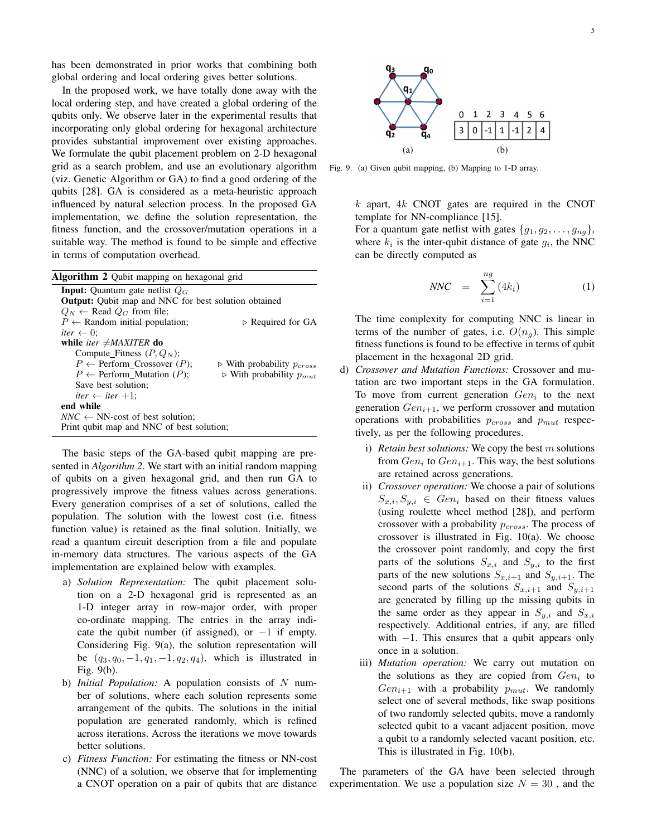has been demonstrated in prior works that combining both global ordering and local ordering gives better solutions.

In the proposed work, we have totally done away with the local ordering step, and have created a global ordering of the qubits only. We observe later in the experimental results that incorporating only global ordering for hexagonal architecture provides substantial improvement over existing approaches. We formulate the qubit placement problem on 2-D hexagonal grid as a search problem, and use an evolutionary algorithm (viz. Genetic Algorithm or GA) to find a good ordering of the qubits [28]. GA is considered as a meta-heuristic approach influenced by natural selection process. In the proposed GA implementation, we define the solution representation, the fitness function, and the crossover/mutation operations in a suitable way. The method is found to be simple and effective in terms of computation overhead.

| Algorithm 2 Qubit mapping on hexagonal grid                 |                                               |  |  |  |  |
|-------------------------------------------------------------|-----------------------------------------------|--|--|--|--|
| <b>Input:</b> Quantum gate netlist $Q_G$                    |                                               |  |  |  |  |
| <b>Output:</b> Qubit map and NNC for best solution obtained |                                               |  |  |  |  |
| $Q_N \leftarrow$ Read $Q_G$ from file;                      |                                               |  |  |  |  |
| $P \leftarrow$ Random initial population;                   | $\triangleright$ Required for GA              |  |  |  |  |
| <i>iter</i> $\leftarrow$ 0;                                 |                                               |  |  |  |  |
| while <i>iter</i> $\neq$ <i>MAXITER</i> do                  |                                               |  |  |  |  |
| Compute Fitness $(P, Q_N)$ ;                                |                                               |  |  |  |  |
| $P \leftarrow$ Perform Crossover (P);                       | $\triangleright$ With probability $p_{cross}$ |  |  |  |  |
| $P \leftarrow$ Perform Mutation (P);                        | $\triangleright$ With probability $p_{mut}$   |  |  |  |  |
| Save best solution;                                         |                                               |  |  |  |  |
| iter $\leftarrow$ iter $+1$ :                               |                                               |  |  |  |  |
| end while                                                   |                                               |  |  |  |  |
| $NNC \leftarrow NN\text{-}cost$ of best solution:           |                                               |  |  |  |  |
| Print qubit map and NNC of best solution;                   |                                               |  |  |  |  |

The basic steps of the GA-based qubit mapping are presented in *Algorithm 2*. We start with an initial random mapping of qubits on a given hexagonal grid, and then run GA to progressively improve the fitness values across generations. Every generation comprises of a set of solutions, called the population. The solution with the lowest cost (i.e. fitness function value) is retained as the final solution. Initially, we read a quantum circuit description from a file and populate in-memory data structures. The various aspects of the GA implementation are explained below with examples.

- a) *Solution Representation:* The qubit placement solution on a 2-D hexagonal grid is represented as an 1-D integer array in row-major order, with proper co-ordinate mapping. The entries in the array indicate the qubit number (if assigned), or  $-1$  if empty. Considering Fig. 9(a), the solution representation will be  $(q_3, q_0, -1, q_1, -1, q_2, q_4)$ , which is illustrated in Fig. 9(b).
- b) *Initial Population:* A population consists of N number of solutions, where each solution represents some arrangement of the qubits. The solutions in the initial population are generated randomly, which is refined across iterations. Across the iterations we move towards better solutions.
- c) *Fitness Function:* For estimating the fitness or NN-cost (NNC) of a solution, we observe that for implementing a CNOT operation on a pair of qubits that are distance



Fig. 9. (a) Given qubit mapping, (b) Mapping to 1-D array.

 $k$  apart,  $4k$  CNOT gates are required in the CNOT template for NN-compliance [15].

For a quantum gate netlist with gates  $\{g_1, g_2, \ldots, g_{nq}\},\$ where  $k_i$  is the inter-qubit distance of gate  $g_i$ , the NNC can be directly computed as

$$
NNC = \sum_{i=1}^{ng} (4k_i) \tag{1}
$$

The time complexity for computing NNC is linear in terms of the number of gates, i.e.  $O(n<sub>q</sub>)$ . This simple fitness functions is found to be effective in terms of qubit placement in the hexagonal 2D grid.

- d) *Crossover and Mutation Functions:* Crossover and mutation are two important steps in the GA formulation. To move from current generation  $Gen_i$  to the next generation  $Gen_{i+1}$ , we perform crossover and mutation operations with probabilities  $p_{cross}$  and  $p_{mut}$  respectively, as per the following procedures.
	- i) *Retain best solutions:* We copy the best m solutions from  $Gen_i$  to  $Gen_{i+1}$ . This way, the best solutions are retained across generations.
	- ii) *Crossover operation:* We choose a pair of solutions  $S_{x,i}, S_{y,i} \in Gen_i$  based on their fitness values (using roulette wheel method [28]), and perform crossover with a probability  $p_{cross}$ . The process of crossover is illustrated in Fig. 10(a). We choose the crossover point randomly, and copy the first parts of the solutions  $S_{x,i}$  and  $S_{y,i}$  to the first parts of the new solutions  $S_{x,i+1}$  and  $S_{y,i+1}$ . The second parts of the solutions  $S_{x,i+1}$  and  $S_{y,i+1}$ are generated by filling up the missing qubits in the same order as they appear in  $S_{y,i}$  and  $S_{x,i}$ respectively. Additional entries, if any, are filled with  $-1$ . This ensures that a qubit appears only once in a solution.
	- iii) *Mutation operation:* We carry out mutation on the solutions as they are copied from  $Gen_i$  to  $Gen_{i+1}$  with a probability  $p_{mut}$ . We randomly select one of several methods, like swap positions of two randomly selected qubits, move a randomly selected qubit to a vacant adjacent position, move a qubit to a randomly selected vacant position, etc. This is illustrated in Fig. 10(b).

The parameters of the GA have been selected through experimentation. We use a population size  $N = 30$ , and the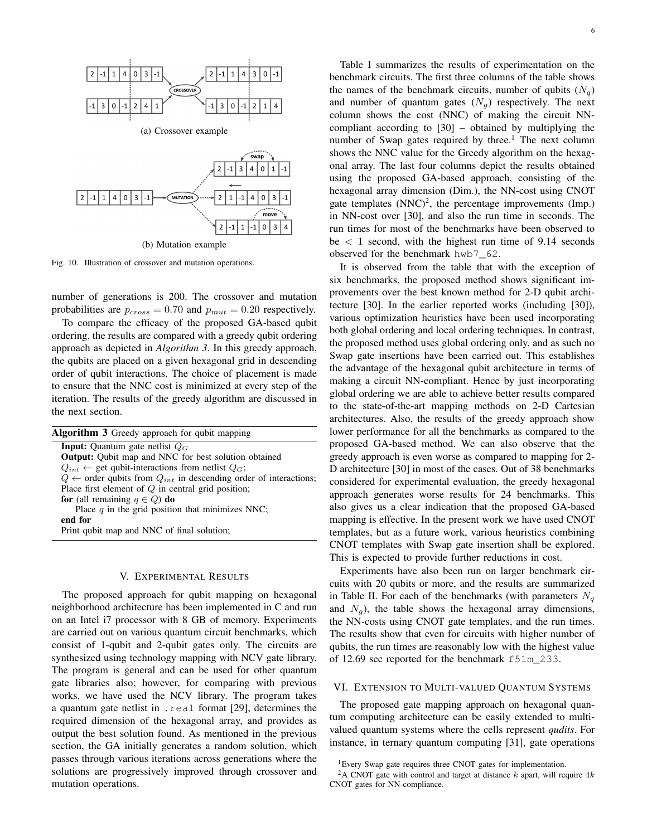

Fig. 10. Illustration of crossover and mutation operations.

number of generations is 200. The crossover and mutation probabilities are  $p_{cross} = 0.70$  and  $p_{mut} = 0.20$  respectively.

To compare the efficacy of the proposed GA-based qubit ordering, the results are compared with a greedy qubit ordering approach as depicted in *Algorithm 3*. In this greedy approach, the qubits are placed on a given hexagonal grid in descending order of qubit interactions. The choice of placement is made to ensure that the NNC cost is minimized at every step of the iteration. The results of the greedy algorithm are discussed in the next section.

| <b>Algorithm 3</b> Greedy approach for qubit mapping                            |
|---------------------------------------------------------------------------------|
| <b>Input:</b> Quantum gate netlist $Q_G$                                        |
| <b>Output:</b> Qubit map and NNC for best solution obtained                     |
| $Q_{int} \leftarrow$ get qubit-interactions from netlist $Q_G$ ;                |
| $Q \leftarrow$ order qubits from $Q_{int}$ in descending order of interactions; |
| Place first element of $Q$ in central grid position;                            |
| for (all remaining $q \in Q$ ) do                                               |
| Place $q$ in the grid position that minimizes NNC;                              |
| end for                                                                         |
| Print qubit map and NNC of final solution;                                      |
|                                                                                 |

#### V. EXPERIMENTAL RESULTS

The proposed approach for qubit mapping on hexagonal neighborhood architecture has been implemented in C and run on an Intel i7 processor with 8 GB of memory. Experiments are carried out on various quantum circuit benchmarks, which consist of 1-qubit and 2-qubit gates only. The circuits are synthesized using technology mapping with NCV gate library. The program is general and can be used for other quantum gate libraries also; however, for comparing with previous works, we have used the NCV library. The program takes a quantum gate netlist in .real format [29], determines the required dimension of the hexagonal array, and provides as output the best solution found. As mentioned in the previous section, the GA initially generates a random solution, which passes through various iterations across generations where the solutions are progressively improved through crossover and mutation operations.

Table I summarizes the results of experimentation on the benchmark circuits. The first three columns of the table shows the names of the benchmark circuits, number of qubits  $(N_q)$ and number of quantum gates  $(N_q)$  respectively. The next column shows the cost (NNC) of making the circuit NNcompliant according to [30] – obtained by multiplying the number of Swap gates required by three.<sup>1</sup> The next column shows the NNC value for the Greedy algorithm on the hexagonal array. The last four columns depict the results obtained using the proposed GA-based approach, consisting of the hexagonal array dimension (Dim.), the NN-cost using CNOT gate templates  $(NNC)^2$ , the percentage improvements (Imp.) in NN-cost over [30], and also the run time in seconds. The run times for most of the benchmarks have been observed to be  $\lt$  1 second, with the highest run time of 9.14 seconds observed for the benchmark hwb7\_62.

It is observed from the table that with the exception of six benchmarks, the proposed method shows significant improvements over the best known method for 2-D qubit architecture [30]. In the earlier reported works (including [30]), various optimization heuristics have been used incorporating both global ordering and local ordering techniques. In contrast, the proposed method uses global ordering only, and as such no Swap gate insertions have been carried out. This establishes the advantage of the hexagonal qubit architecture in terms of making a circuit NN-compliant. Hence by just incorporating global ordering we are able to achieve better results compared to the state-of-the-art mapping methods on 2-D Cartesian architectures. Also, the results of the greedy approach show lower performance for all the benchmarks as compared to the proposed GA-based method. We can also observe that the greedy approach is even worse as compared to mapping for 2- D architecture [30] in most of the cases. Out of 38 benchmarks considered for experimental evaluation, the greedy hexagonal approach generates worse results for 24 benchmarks. This also gives us a clear indication that the proposed GA-based mapping is effective. In the present work we have used CNOT templates, but as a future work, various heuristics combining CNOT templates with Swap gate insertion shall be explored. This is expected to provide further reductions in cost.

Experiments have also been run on larger benchmark circuits with 20 qubits or more, and the results are summarized in Table II. For each of the benchmarks (with parameters  $N_a$ and  $N_a$ ), the table shows the hexagonal array dimensions, the NN-costs using CNOT gate templates, and the run times. The results show that even for circuits with higher number of qubits, the run times are reasonably low with the highest value of 12.69 sec reported for the benchmark f51m\_233.

#### VI. EXTENSION TO MULTI-VALUED QUANTUM SYSTEMS

The proposed gate mapping approach on hexagonal quantum computing architecture can be easily extended to multivalued quantum systems where the cells represent *qudits*. For instance, in ternary quantum computing [31], gate operations

<sup>&</sup>lt;sup>1</sup>Every Swap gate requires three CNOT gates for implementation.

<sup>&</sup>lt;sup>2</sup>A CNOT gate with control and target at distance  $k$  apart, will require  $4k$ CNOT gates for NN-compliance.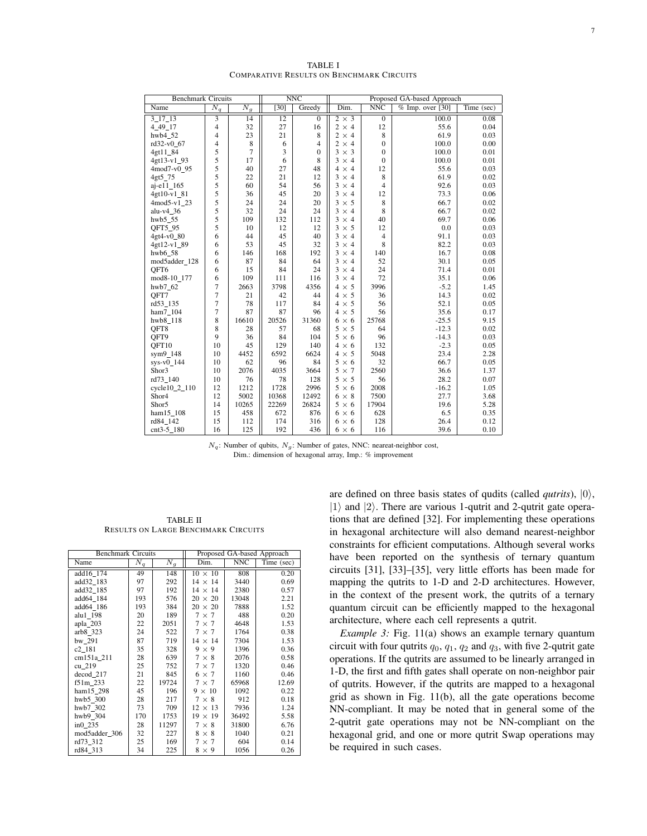| <b>Benchmark Circuits</b>       |                  |                  |       | NNC            | Proposed GA-based Approach |                |                    |            |
|---------------------------------|------------------|------------------|-------|----------------|----------------------------|----------------|--------------------|------------|
| Name                            | $\overline{N_q}$ | $\overline{N_g}$ | [30]  | Greedy         | Dim.                       | <b>NNC</b>     | $%$ Imp. over [30] | Time (sec) |
| $3 \overline{17} \overline{13}$ | 3                | 14               | 12    | $\overline{0}$ | $2 \times 3$               | $\overline{0}$ | 100.0              | 0.08       |
| 4 49 17                         | 4                | 32               | 27    | 16             | $2 \times 4$               | 12             | 55.6               | 0.04       |
| hwb4 52                         | 4                | 23               | 21    | 8              | $2 \times 4$               | 8              | 61.9               | 0.03       |
| rd32-v0 67                      | 4                | 8                | 6     | $\overline{4}$ | $2 \times 4$               | $\mathbf{0}$   | 100.0              | 0.00       |
| 4gt11 84                        | 5                | $\overline{7}$   | 3     | $\mathbf{0}$   | $3 \times 3$               | $\mathbf{0}$   | 100.0              | 0.01       |
| 4gt13-v1_93                     | 5                | 17               | 6     | 8              | $3 \times 4$               | $\mathbf{0}$   | 100.0              | 0.01       |
| 4mod7-v0 95                     | 5                | 40               | 27    | 48             | $4 \times 4$               | 12             | 55.6               | 0.03       |
| 4gt5_75                         | 5                | 22               | 21    | 12             | $3 \times 4$               | 8              | 61.9               | 0.02       |
| aj-e11 165                      | 5                | 60               | 54    | 56             | $3 \times 4$               | $\overline{4}$ | 92.6               | 0.03       |
| 4gt10-v1_81                     | 5                | 36               | 45    | 20             | $3 \times 4$               | 12             | 73.3               | 0.06       |
| $4 \text{mod} 5 - v1$ 23        | 5                | 24               | 24    | 20             | $3 \times 5$               | 8              | 66.7               | 0.02       |
| alu-v $4$ _36                   | 5                | 32               | 24    | 24             | $3 \times 4$               | 8              | 66.7               | 0.02       |
| hwb5 55                         | 5                | 109              | 132   | 112            | $3 \times 4$               | 40             | 69.7               | 0.06       |
| QFT5_95                         | 5                | 10               | 12    | 12             | $3 \times 5$               | 12             | 0.0                | 0.03       |
| 4gt4-v0_80                      | 6                | 44               | 45    | 40             | $3 \times 4$               | $\overline{4}$ | 91.1               | 0.03       |
| 4gt12-v1_89                     | 6                | 53               | 45    | 32             | $3 \times 4$               | 8              | 82.2               | 0.03       |
| hwb6 58                         | 6                | 146              | 168   | 192            | $3 \times 4$               | 140            | 16.7               | 0.08       |
| mod5adder_128                   | 6                | 87               | 84    | 64             | $3 \times 4$               | 52             | 30.1               | 0.05       |
| QFT6                            | 6                | 15               | 84    | 24             | $3 \times 4$               | 24             | 71.4               | 0.01       |
| mod8-10_177                     | 6                | 109              | 111   | 116            | $3 \times 4$               | 72             | 35.1               | 0.06       |
| hwb7_62                         | 7                | 2663             | 3798  | 4356           | $4 \times 5$               | 3996           | $-5.2$             | 1.45       |
| OFT7                            | 7                | 21               | 42    | 44             | $4 \times 5$               | 36             | 14.3               | 0.02       |
| rd53_135                        | $\overline{7}$   | 78               | 117   | 84             | $4 \times 5$               | 56             | 52.1               | 0.05       |
| ham7_104                        | $\overline{7}$   | 87               | 87    | 96             | $4 \times 5$               | 56             | 35.6               | 0.17       |
| hwb8 118                        | 8                | 16610            | 20526 | 31360          | $6 \times 6$               | 25768          | $-25.5$            | 9.15       |
| OFT8                            | 8                | 28               | 57    | 68             | $5 \times 5$               | 64             | $-12.3$            | 0.02       |
| QFT9                            | 9                | 36               | 84    | 104            | $5 \times 6$               | 96             | $-14.3$            | 0.03       |
| QFT10                           | 10               | 45               | 129   | 140            | $4 \times 6$               | 132            | $-2.3$             | 0.05       |
| sym9 148                        | 10               | 4452             | 6592  | 6624           | $4 \times 5$               | 5048           | 23.4               | 2.28       |
| $sys-v0$ 144                    | 10               | 62               | 96    | 84             | $5 \times 6$               | 32             | 66.7               | 0.05       |
| Shor3                           | 10               | 2076             | 4035  | 3664           | $5 \times 7$               | 2560           | 36.6               | 1.37       |
| rd73_140                        | 10               | 76               | 78    | 128            | $5 \times 5$               | 56             | 28.2               | 0.07       |
| $cycle10_2_1110$                | 12               | 1212             | 1728  | 2996           | $5 \times 6$               | 2008           | $-16.2$            | 1.05       |
| Shor4                           | 12               | 5002             | 10368 | 12492          | $6 \times 8$               | 7500           | 27.7               | 3.68       |
| Shor5                           | 14               | 10265            | 22269 | 26824          | $5 \times 6$               | 17904          | 19.6               | 5.28       |
| ham15_108                       | 15               | 458              | 672   | 876            | $6 \times 6$               | 628            | 6.5                | 0.35       |
| rd84 142                        | 15               | 112              | 174   | 316            | $6 \times 6$               | 128            | 26.4               | 0.12       |
| cnt3-5 180                      | 16               | 125              | 192   | 436            | $6 \times 6$               | 116            | 39.6               | 0.10       |

TABLE I COMPARATIVE RESULTS ON BENCHMARK CIRCUITS

 $N_q$ : Number of qubits,  $N_q$ : Number of gates, NNC: neareat-neighbor cost, Dim.: dimension of hexagonal array, Imp.: % improvement

TABLE II RESULTS ON LARGE BENCHMARK CIRCUITS

| <b>Benchmark Circuits</b> |                  |                  | Proposed GA-based Approach |       |            |  |
|---------------------------|------------------|------------------|----------------------------|-------|------------|--|
| Name                      | $\overline{N}_q$ | $\overline{N_g}$ | Dim.                       | NNC   | Time (sec) |  |
| add16 174                 | 49               | 148              | $10 \times 10$             | 808   | 0.20       |  |
| add32 183                 | 97               | 292              | $14 \times 14$             | 3440  | 0.69       |  |
| add32 185                 | 97               | 192              | $14 \times 14$             | 2380  | 0.57       |  |
| add64 184                 | 193              | 576              | $20 \times 20$             | 13048 | 2.21       |  |
| add64 186                 | 193              | 384              | $20 \times 20$             | 7888  | 1.52       |  |
| alu1 198                  | 20               | 189              | $7 \times 7$               | 488   | 0.20       |  |
| apla_203                  | 22               | 2051             | $7 \times 7$               | 4648  | 1.53       |  |
| arb8 323                  | 24               | 522              | $7 \times 7$               | 1764  | 0.38       |  |
| bw 291                    | 87               | 719              | $14 \times 14$             | 7304  | 1.53       |  |
| c <sub>2</sub> 181        | 35               | 328              | $9 \times 9$               | 1396  | 0.36       |  |
| cm151a_211                | 28               | 639              | $7 \times 8$               | 2076  | 0.58       |  |
| cu 219                    | 25               | 752              | $7 \times 7$               | 1320  | 0.46       |  |
| decod 217                 | 21               | 845              | $6 \times 7$               | 1160  | 0.46       |  |
| f51m 233                  | 22               | 19724            | $7 \times 7$               | 65968 | 12.69      |  |
| ham15 298                 | 45               | 196              | $9 \times 10$              | 1092  | 0.22       |  |
| hwb5_300                  | 28               | 217              | $7 \times 8$               | 912   | 0.18       |  |
| hwb7 302                  | 73               | 709              | $12 \times 13$             | 7936  | 1.24       |  |
| hwb9 304                  | 170              | 1753             | $19 \times 19$             | 36492 | 5.58       |  |
| $in 0$ 235                | 28               | 11297            | $7 \times 8$               | 31800 | 6.76       |  |
| mod5adder_306             | 32               | 227              | $8 \times 8$               | 1040  | 0.21       |  |
| rd73 312                  | 25               | 169              | $7 \times 7$               | 604   | 0.14       |  |
| rd84 313                  | 34               | 225              | $8 \times 9$               | 1056  | 0.26       |  |

are defined on three basis states of qudits (called *qutrits*),  $|0\rangle$ ,  $|1\rangle$  and  $|2\rangle$ . There are various 1-qutrit and 2-qutrit gate operations that are defined [32]. For implementing these operations in hexagonal architecture will also demand nearest-neighbor constraints for efficient computations. Although several works have been reported on the synthesis of ternary quantum circuits [31], [33]–[35], very little efforts has been made for mapping the qutrits to 1-D and 2-D architectures. However, in the context of the present work, the qutrits of a ternary quantum circuit can be efficiently mapped to the hexagonal architecture, where each cell represents a qutrit.

*Example 3:* Fig. 11(a) shows an example ternary quantum circuit with four qutrits  $q_0$ ,  $q_1$ ,  $q_2$  and  $q_3$ , with five 2-qutrit gate operations. If the qutrits are assumed to be linearly arranged in 1-D, the first and fifth gates shall operate on non-neighbor pair of qutrits. However, if the qutrits are mapped to a hexagonal grid as shown in Fig. 11(b), all the gate operations become NN-compliant. It may be noted that in general some of the 2-qutrit gate operations may not be NN-compliant on the hexagonal grid, and one or more qutrit Swap operations may be required in such cases.